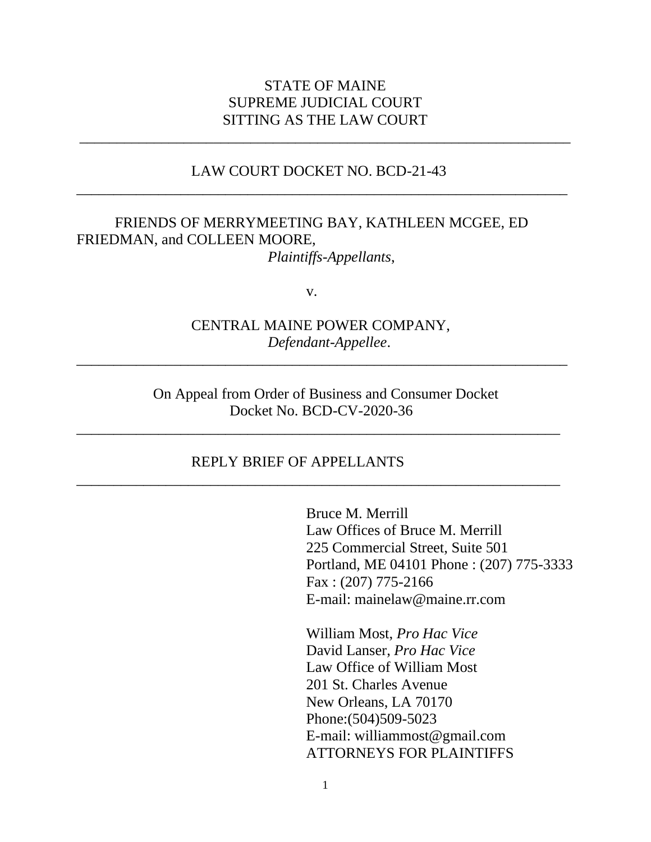## STATE OF MAINE SUPREME JUDICIAL COURT SITTING AS THE LAW COURT

\_\_\_\_\_\_\_\_\_\_\_\_\_\_\_\_\_\_\_\_\_\_\_\_\_\_\_\_\_\_\_\_\_\_\_\_\_\_\_\_\_\_\_\_\_\_\_\_\_\_\_\_\_\_\_\_\_\_\_\_\_\_\_\_\_\_

### LAW COURT DOCKET NO. BCD-21-43 \_\_\_\_\_\_\_\_\_\_\_\_\_\_\_\_\_\_\_\_\_\_\_\_\_\_\_\_\_\_\_\_\_\_\_\_\_\_\_\_\_\_\_\_\_\_\_\_\_\_\_\_\_\_\_\_\_\_\_\_\_\_\_\_\_\_

#### FRIENDS OF MERRYMEETING BAY, KATHLEEN MCGEE, ED FRIEDMAN, and COLLEEN MOORE, *Plaintiffs-Appellants*,

v.

CENTRAL MAINE POWER COMPANY, *Defendant-Appellee*.

 $\overline{a_1}$  ,  $\overline{a_2}$  ,  $\overline{a_3}$  ,  $\overline{a_4}$  ,  $\overline{a_5}$  ,  $\overline{a_6}$  ,  $\overline{a_7}$  ,  $\overline{a_8}$  ,  $\overline{a_9}$  ,  $\overline{a_9}$  ,  $\overline{a_9}$  ,  $\overline{a_9}$  ,  $\overline{a_9}$  ,  $\overline{a_9}$  ,  $\overline{a_9}$  ,  $\overline{a_9}$  ,  $\overline{a_9}$  ,

On Appeal from Order of Business and Consumer Docket Docket No. BCD-CV-2020-36

\_\_\_\_\_\_\_\_\_\_\_\_\_\_\_\_\_\_\_\_\_\_\_\_\_\_\_\_\_\_\_\_\_\_\_\_\_\_\_\_\_\_\_\_\_\_\_\_\_\_\_\_\_\_\_\_\_\_\_\_\_\_\_\_\_

\_\_\_\_\_\_\_\_\_\_\_\_\_\_\_\_\_\_\_\_\_\_\_\_\_\_\_\_\_\_\_\_\_\_\_\_\_\_\_\_\_\_\_\_\_\_\_\_\_\_\_\_\_\_\_\_\_\_\_\_\_\_\_\_\_

#### REPLY BRIEF OF APPELLANTS

Bruce M. Merrill Law Offices of Bruce M. Merrill 225 Commercial Street, Suite 501 Portland, ME 04101 Phone : (207) 775-3333 Fax : (207) 775-2166 E-mail: mainelaw@maine.rr.com

William Most, *Pro Hac Vice*  David Lanser, *Pro Hac Vice*  Law Office of William Most 201 St. Charles Avenue New Orleans, LA 70170 Phone:(504)509-5023 E-mail: williammost@gmail.com ATTORNEYS FOR PLAINTIFFS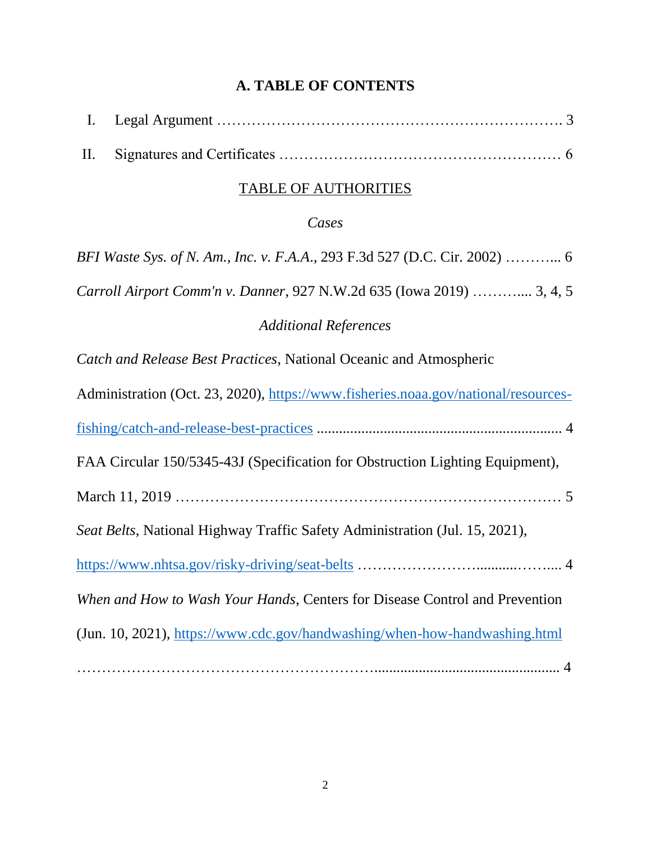# **A. TABLE OF CONTENTS**

# TABLE OF AUTHORITIES

# *Cases*

| BFI Waste Sys. of N. Am., Inc. v. F.A.A., 293 F.3d 527 (D.C. Cir. 2002)  6         |
|------------------------------------------------------------------------------------|
| Carroll Airport Comm'n v. Danner, 927 N.W.2d 635 (Iowa 2019)  3, 4, 5              |
| <b>Additional References</b>                                                       |
| Catch and Release Best Practices, National Oceanic and Atmospheric                 |
| Administration (Oct. 23, 2020), https://www.fisheries.noaa.gov/national/resources- |
|                                                                                    |
| FAA Circular 150/5345-43J (Specification for Obstruction Lighting Equipment),      |
|                                                                                    |
| Seat Belts, National Highway Traffic Safety Administration (Jul. 15, 2021),        |
|                                                                                    |
| When and How to Wash Your Hands, Centers for Disease Control and Prevention        |
| (Jun. 10, 2021), https://www.cdc.gov/handwashing/when-how-handwashing.html         |
|                                                                                    |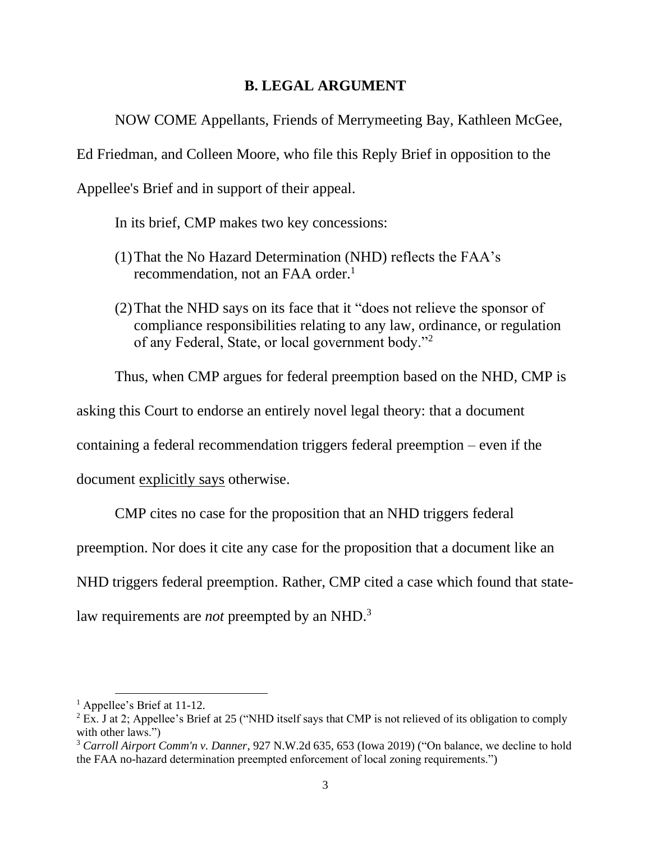### **B. LEGAL ARGUMENT**

NOW COME Appellants, Friends of Merrymeeting Bay, Kathleen McGee,

Ed Friedman, and Colleen Moore, who file this Reply Brief in opposition to the

Appellee's Brief and in support of their appeal.

In its brief, CMP makes two key concessions:

- (1)That the No Hazard Determination (NHD) reflects the FAA's recommendation, not an FAA order.<sup>1</sup>
- (2)That the NHD says on its face that it "does not relieve the sponsor of compliance responsibilities relating to any law, ordinance, or regulation of any Federal, State, or local government body."<sup>2</sup>

Thus, when CMP argues for federal preemption based on the NHD, CMP is

asking this Court to endorse an entirely novel legal theory: that a document

containing a federal recommendation triggers federal preemption – even if the

document explicitly says otherwise.

CMP cites no case for the proposition that an NHD triggers federal

preemption. Nor does it cite any case for the proposition that a document like an

NHD triggers federal preemption. Rather, CMP cited a case which found that state-

law requirements are *not* preempted by an NHD.<sup>3</sup>

<sup>&</sup>lt;sup>1</sup> Appellee's Brief at 11-12.

<sup>&</sup>lt;sup>2</sup> Ex. J at 2; Appellee's Brief at 25 ("NHD itself says that CMP is not relieved of its obligation to comply with other laws.")

<sup>3</sup> *Carroll Airport Comm'n v. Danner*, 927 N.W.2d 635, 653 (Iowa 2019) ("On balance, we decline to hold the FAA no-hazard determination preempted enforcement of local zoning requirements.")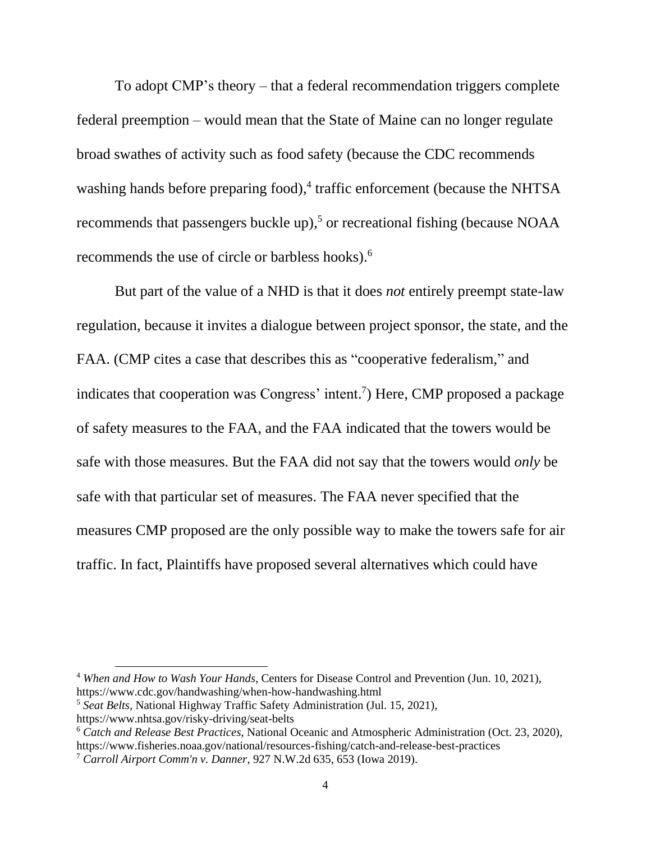To adopt CMP's theory – that a federal recommendation triggers complete federal preemption – would mean that the State of Maine can no longer regulate broad swathes of activity such as food safety (because the CDC recommends washing hands before preparing food),<sup>4</sup> traffic enforcement (because the NHTSA recommends that passengers buckle up), <sup>5</sup> or recreational fishing (because NOAA recommends the use of circle or barbless hooks).<sup>6</sup>

But part of the value of a NHD is that it does *not* entirely preempt state-law regulation, because it invites a dialogue between project sponsor, the state, and the FAA. (CMP cites a case that describes this as "cooperative federalism," and indicates that cooperation was Congress' intent. 7 ) Here, CMP proposed a package of safety measures to the FAA, and the FAA indicated that the towers would be safe with those measures. But the FAA did not say that the towers would *only* be safe with that particular set of measures. The FAA never specified that the measures CMP proposed are the only possible way to make the towers safe for air traffic. In fact, Plaintiffs have proposed several alternatives which could have

<sup>5</sup> *Seat Belts*, National Highway Traffic Safety Administration (Jul. 15, 2021), https://www.nhtsa.gov/risky-driving/seat-belts

<sup>4</sup> *When and How to Wash Your Hands*, Centers for Disease Control and Prevention (Jun. 10, 2021), https://www.cdc.gov/handwashing/when-how-handwashing.html

<sup>6</sup> *Catch and Release Best Practices*, National Oceanic and Atmospheric Administration (Oct. 23, 2020),

https://www.fisheries.noaa.gov/national/resources-fishing/catch-and-release-best-practices

<sup>7</sup> *Carroll Airport Comm'n v. Danner*, 927 N.W.2d 635, 653 (Iowa 2019).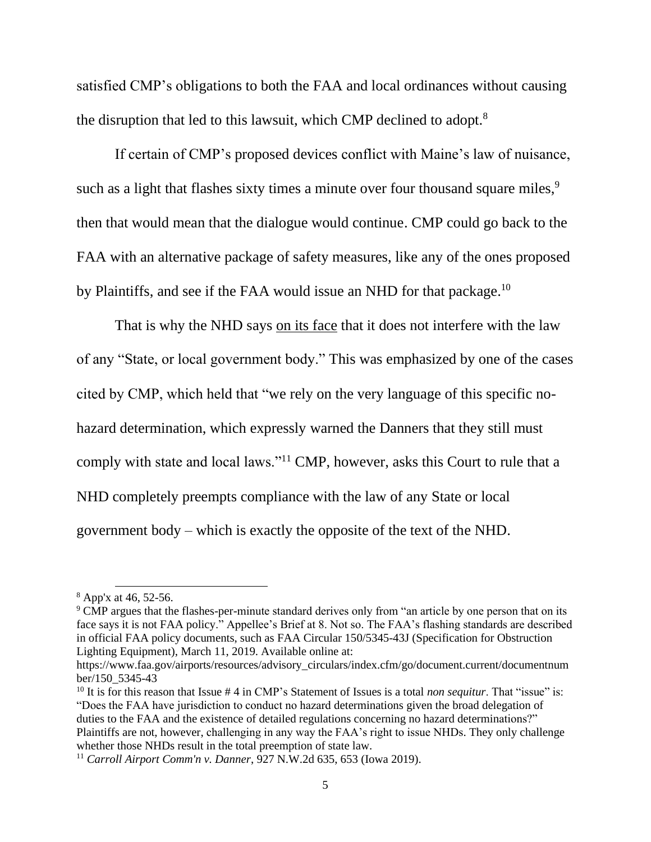satisfied CMP's obligations to both the FAA and local ordinances without causing the disruption that led to this lawsuit, which CMP declined to adopt.<sup>8</sup>

If certain of CMP's proposed devices conflict with Maine's law of nuisance, such as a light that flashes sixty times a minute over four thousand square miles,<sup>9</sup> then that would mean that the dialogue would continue. CMP could go back to the FAA with an alternative package of safety measures, like any of the ones proposed by Plaintiffs, and see if the FAA would issue an NHD for that package.<sup>10</sup>

That is why the NHD says on its face that it does not interfere with the law of any "State, or local government body." This was emphasized by one of the cases cited by CMP, which held that "we rely on the very language of this specific nohazard determination, which expressly warned the Danners that they still must comply with state and local laws."<sup>11</sup> CMP, however, asks this Court to rule that a NHD completely preempts compliance with the law of any State or local government body – which is exactly the opposite of the text of the NHD.

<sup>9</sup> CMP argues that the flashes-per-minute standard derives only from "an article by one person that on its face says it is not FAA policy." Appellee's Brief at 8. Not so. The FAA's flashing standards are described in official FAA policy documents, such as FAA Circular 150/5345-43J (Specification for Obstruction Lighting Equipment), March 11, 2019. Available online at:

<sup>8</sup> App'x at 46, 52-56.

https://www.faa.gov/airports/resources/advisory\_circulars/index.cfm/go/document.current/documentnum ber/150\_5345-43

<sup>&</sup>lt;sup>10</sup> It is for this reason that Issue # 4 in CMP's Statement of Issues is a total *non sequitur*. That "issue" is: "Does the FAA have jurisdiction to conduct no hazard determinations given the broad delegation of duties to the FAA and the existence of detailed regulations concerning no hazard determinations?" Plaintiffs are not, however, challenging in any way the FAA's right to issue NHDs. They only challenge whether those NHDs result in the total preemption of state law.

<sup>11</sup> *Carroll Airport Comm'n v. Danner*, 927 N.W.2d 635, 653 (Iowa 2019).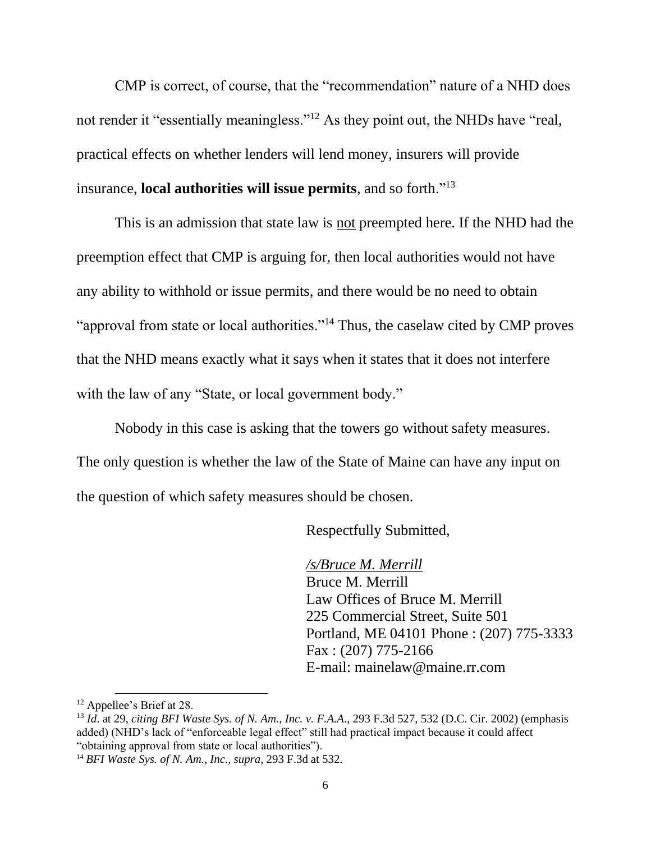CMP is correct, of course, that the "recommendation" nature of a NHD does not render it "essentially meaningless."<sup>12</sup> As they point out, the NHDs have "real, practical effects on whether lenders will lend money, insurers will provide insurance, **local authorities will issue permits**, and so forth."<sup>13</sup>

This is an admission that state law is not preempted here. If the NHD had the preemption effect that CMP is arguing for, then local authorities would not have any ability to withhold or issue permits, and there would be no need to obtain "approval from state or local authorities."<sup>14</sup> Thus, the caselaw cited by CMP proves that the NHD means exactly what it says when it states that it does not interfere with the law of any "State, or local government body."

Nobody in this case is asking that the towers go without safety measures. The only question is whether the law of the State of Maine can have any input on the question of which safety measures should be chosen.

Respectfully Submitted,

*/s/Bruce M. Merrill*  Bruce M. Merrill Law Offices of Bruce M. Merrill 225 Commercial Street, Suite 501 Portland, ME 04101 Phone : (207) 775-3333 Fax : (207) 775-2166 E-mail: mainelaw@maine.rr.com

<sup>&</sup>lt;sup>12</sup> Appellee's Brief at 28.

<sup>13</sup> *Id*. at 29, *citing BFI Waste Sys. of N. Am., Inc. v. F.A.A*., 293 F.3d 527, 532 (D.C. Cir. 2002) (emphasis added) (NHD's lack of "enforceable legal effect" still had practical impact because it could affect "obtaining approval from state or local authorities").

<sup>14</sup> *BFI Waste Sys. of N. Am., Inc., supra,* 293 F.3d at 532.